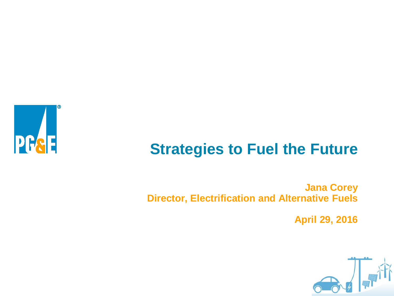

## **Strategies to Fuel the Future**

**Jana Corey Director, Electrification and Alternative Fuels**

**April 29, 2016**

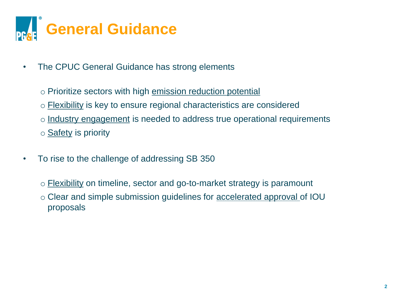

- The CPUC General Guidance has strong elements
	- o Prioritize sectors with high emission reduction potential
	- o Flexibility is key to ensure regional characteristics are considered
	- o Industry engagement is needed to address true operational requirements
	- o Safety is priority
- To rise to the challenge of addressing SB 350
	- o Flexibility on timeline, sector and go-to-market strategy is paramount
	- o Clear and simple submission guidelines for accelerated approval of IOU proposals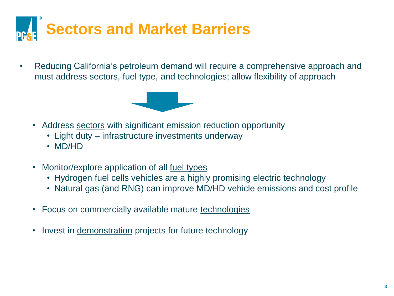

• Reducing California's petroleum demand will require a comprehensive approach and must address sectors, fuel type, and technologies; allow flexibility of approach



- Address sectors with significant emission reduction opportunity
	- Light duty infrastructure investments underway
	- MD/HD
- Monitor/explore application of all fuel types
	- Hydrogen fuel cells vehicles are a highly promising electric technology
	- Natural gas (and RNG) can improve MD/HD vehicle emissions and cost profile
- Focus on commercially available mature technologies
- Invest in demonstration projects for future technology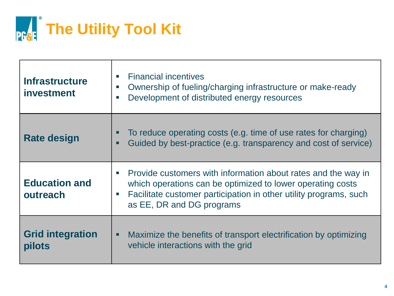

| <b>Infrastructure</b><br>investment | <b>Financial incentives</b><br>$\mathcal{C}$<br>Ownership of fueling/charging infrastructure or make-ready<br>$\sim$<br>Development of distributed energy resources<br>П                                                                                     |
|-------------------------------------|--------------------------------------------------------------------------------------------------------------------------------------------------------------------------------------------------------------------------------------------------------------|
| <b>Rate design</b>                  | To reduce operating costs (e.g. time of use rates for charging)<br>п<br>Guided by best-practice (e.g. transparency and cost of service)<br>п                                                                                                                 |
| <b>Education and</b><br>outreach    | Provide customers with information about rates and the way in<br><b>COL</b><br>which operations can be optimized to lower operating costs<br>Facilitate customer participation in other utility programs, such<br>$\mathcal{C}$<br>as EE, DR and DG programs |
| <b>Grid integration</b><br>pilots   | Maximize the benefits of transport electrification by optimizing<br>п<br>vehicle interactions with the grid                                                                                                                                                  |